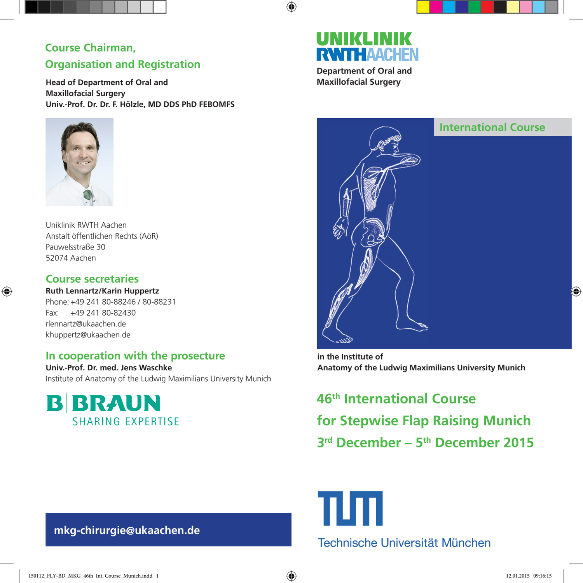## **Course Chairman, Organisation and Registration**

**Head of Department of Oral and Maxillofacial Surgery Univ.-Prof. Dr. Dr. F. Hölzle, MD DDS PhD FEBOMFS**



Uniklinik RWTH Aachen Anstalt öffentlichen Rechts (AöR) Pauwelsstraße 30 52074 Aachen

## **Course secretaries**

⊕

**Ruth Lennartz/Karin Huppertz** Phone: +49 241 80-88246 / 80-88231 Fax: +49 241 80-82430 rlennartz@ukaachen.de khuppertz@ukaachen.de

## **In cooperation with the prosecture**

**Univ.-Prof. Dr. med. Jens Waschke** Institute of Anatomy of the Ludwig Maximilians University Munich



# UNIKLIN **RWITHAACHEN**

⊕

**Department of Oral and Maxillofacial Surgery**



**in the Institute of Anatomy of the Ludwig Maximilians University Munich**

**46th International Course for Stepwise Flap Raising Munich 3rd December – 5th December 2015** 



 **mkg-chirurgie@ukaachen.de**

€